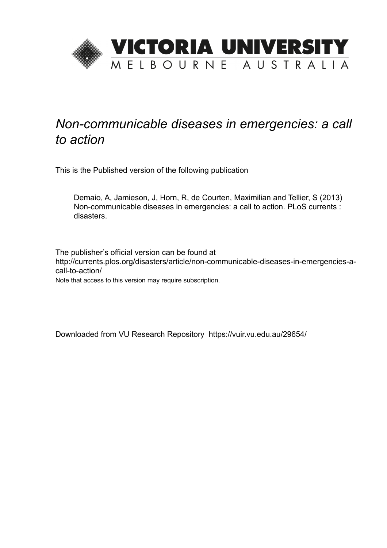

## *Non-communicable diseases in emergencies: a call to action*

This is the Published version of the following publication

Demaio, A, Jamieson, J, Horn, R, de Courten, Maximilian and Tellier, S (2013) Non-communicable diseases in emergencies: a call to action. PLoS currents : disasters.

The publisher's official version can be found at http://currents.plos.org/disasters/article/non-communicable-diseases-in-emergencies-acall-to-action/

Note that access to this version may require subscription.

Downloaded from VU Research Repository https://vuir.vu.edu.au/29654/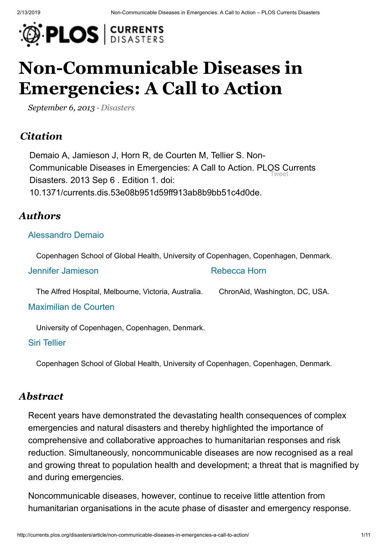

# **[Non-Communicable Diseases in](http://currents.plos.org/disasters/index.html%3Fp=5369.html) Emergencies: A Call to Action**

*September 6, 2013 · [Disasters](http://currents.plos.org/disasters/article_category/disasters/index.html)*

## *Citation*

Tweet Demaio A, Jamieson J, Horn R, de Courten M, Tellier S. Non-Communicable Diseases in Emergencies: A Call to Action. [PLOS Cu](https://twitter.com/intent/tweet?original_referer=http%3A%2F%2Fcurrents.plos.org%2Fdisasters%2Farticle%2Fnon-communicable-diseases-in-emergencies-a-call-to-action%2F&ref_src=twsrc%5Etfw&text=Non-Communicable%20Diseases%20in%20Emergencies%3A%20A%E2%80%A6&tw_p=tweetbutton&url=http%3A%2F%2Fcurrents.plos.org%2Fdisasters%2Farticle%2Fnon-communicable-diseases-in-emergencies-a-call-to-action%2F)rrents Disasters. 2013 Sep 6 . Edition 1. doi: 10.1371/currents.dis.53e08b951d59ff913ab8b9bb51c4d0de.

#### *Authors*

#### [Alessandro](http://currents.plos.org/disasters/author/sandrodemaio/) Demaio

Copenhagen School of Global Health, University of Copenhagen, Copenhagen, Denmark.

| Jennifer Jamieson | Rebecca Horn |  |
|-------------------|--------------|--|
|                   |              |  |

The Alfred Hospital, Melbourne, Victoria, Australia. ChronAid, Washington, DC, USA.

Maximilian [de Courten](http://currents.plos.org/disasters/author/maxcsund-ku-dk/index.html)

University of Copenhagen, Copenhagen, Denmark.

Siri [Tellier](http://currents.plos.org/disasters/author/stelliersund-ku-dk/index.html)

Copenhagen School of Global Health, University of Copenhagen, Copenhagen, Denmark.

#### *Abstract*

Recent years have demonstrated the devastating health consequences of complex emergencies and natural disasters and thereby highlighted the importance of comprehensive and collaborative approaches to humanitarian responses and risk reduction. Simultaneously, noncommunicable diseases are now recognised as a real and growing threat to population health and development; a threat that is magnified by and during emergencies.

Noncommunicable diseases, however, continue to receive little attention from humanitarian organisations in the acute phase of disaster and emergency response.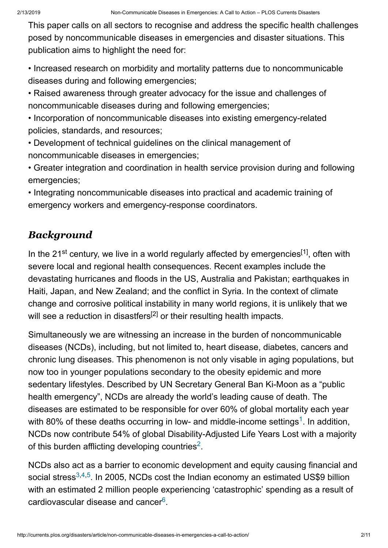This paper calls on all sectors to recognise and address the specific health challenges posed by noncommunicable diseases in emergencies and disaster situations. This publication aims to highlight the need for:

• Increased research on morbidity and mortality patterns due to noncommunicable diseases during and following emergencies;

• Raised awareness through greater advocacy for the issue and challenges of noncommunicable diseases during and following emergencies;

• Incorporation of noncommunicable diseases into existing emergency-related policies, standards, and resources;

• Development of technical guidelines on the clinical management of noncommunicable diseases in emergencies;

• Greater integration and coordination in health service provision during and following emergencies;

• Integrating noncommunicable diseases into practical and academic training of emergency workers and emergency-response coordinators.

## *Background*

In the 21<sup>st</sup> century, we live in a world regularly affected by emergencies<sup>[1]</sup>, often with severe local and regional health consequences. Recent examples include the devastating hurricanes and floods in the US, Australia and Pakistan; earthquakes in Haiti, Japan, and New Zealand; and the conflict in Syria. In the context of climate change and corrosive political instability in many world regions, it is unlikely that we will see a reduction in disastfers<sup>[2]</sup> or their resulting health impacts.

Simultaneously we are witnessing an increase in the burden of noncommunicable diseases (NCDs), including, but not limited to, heart disease, diabetes, cancers and chronic lung diseases. This phenomenon is not only visable in aging populations, but now too in younger populations secondary to the obesity epidemic and more sedentary lifestyles. Described by UN Secretary General Ban Ki-Moon as a "public health emergency", NCDs are already the world's leading cause of death. The diseases are estimated to be responsible for over 60% of global mortality each year with 80% of these deaths occurring in low- and middle-income settings<sup>[1](http://currents.plos.org/disasters/index.html%3Fp=5369.html#ref1)</sup>. In addition, NCDs now contribute 54% of global Disability-Adjusted Life Years Lost with a majority of this burden afflicting developing countries<sup>[2](http://currents.plos.org/disasters/index.html%3Fp=5369.html#ref2)</sup>.

NCDs also act as a barrier to economic development and equity causing financial and social stress<sup>[3](http://currents.plos.org/disasters/index.html%3Fp=5369.html#ref3)[,4,](http://currents.plos.org/disasters/index.html%3Fp=5369.html#ref4)[5](http://currents.plos.org/disasters/index.html%3Fp=5369.html#ref5)</sup>. In 2005, NCDs cost the Indian economy an estimated US\$9 billion with an estimated 2 million people experiencing 'catastrophic' spending as a result of cardiovascular disease and cancer $6$ .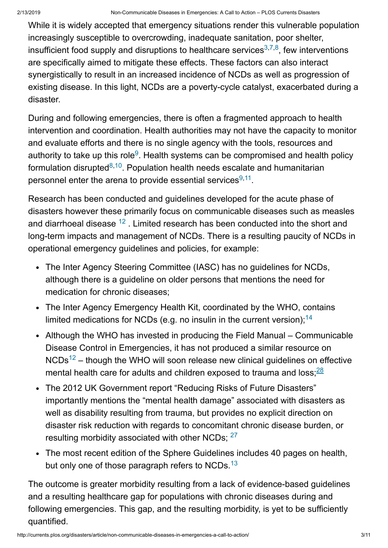While it is widely accepted that emergency situations render this vulnerable population increasingly susceptible to overcrowding, inadequate sanitation, poor shelter, insufficient food supply and disruptions to healthcare services $^{3,7,8}$  $^{3,7,8}$  $^{3,7,8}$  $^{3,7,8}$  $^{3,7,8}$ , few interventions are specifically aimed to mitigate these effects. These factors can also interact synergistically to result in an increased incidence of NCDs as well as progression of existing disease. In this light, NCDs are a poverty-cycle catalyst, exacerbated during a disaster.

During and following emergencies, there is often a fragmented approach to health intervention and coordination. Health authorities may not have the capacity to monitor and evaluate efforts and there is no single agency with the tools, resources and authority to take up this role $9$ . Health systems can be compromised and health policy formulation disrupted $8,10$  $8,10$ . Population health needs escalate and humanitarian personnel enter the arena to provide essential services $9,11$  $9,11$ .

Research has been conducted and guidelines developed for the acute phase of disasters however these primarily focus on communicable diseases such as measles and diarrhoeal disease  $^{12}$  $^{12}$  $^{12}$  . Limited research has been conducted into the short and long-term impacts and management of NCDs. There is a resulting paucity of NCDs in operational emergency guidelines and policies, for example:

- The Inter Agency Steering Committee (IASC) has no guidelines for NCDs, although there is a guideline on older persons that mentions the need for medication for chronic diseases;
- The Inter Agency Emergency Health Kit, coordinated by the WHO, contains limited medications for NCDs (e.g. no insulin in the current version);<sup>[14](http://currents.plos.org/disasters/index.html%3Fp=5369.html#ref14)</sup>
- Although the WHO has invested in producing the Field Manual Communicable Disease Control in Emergencies, it has not produced a similar resource on  $NCDs<sup>12</sup>$  $NCDs<sup>12</sup>$  $NCDs<sup>12</sup>$  – though the WHO will soon release new clinical guidelines on effective mental health care for adults and children exposed to trauma and loss;<sup>[28](http://currents.plos.org/disasters/index.html%3Fp=5369.html#ref28)</sup>
- The 2012 UK Government report "Reducing Risks of Future Disasters" importantly mentions the "mental health damage" associated with disasters as well as disability resulting from trauma, but provides no explicit direction on disaster risk reduction with regards to concomitant chronic disease burden, or resulting morbidity associated with other NCDs;  $27$
- The most recent edition of the Sphere Guidelines includes 40 pages on health, but only one of those paragraph refers to NCDs. $^{13}$  $^{13}$  $^{13}$

The outcome is greater morbidity resulting from a lack of evidence-based guidelines and a resulting healthcare gap for populations with chronic diseases during and following emergencies. This gap, and the resulting morbidity, is yet to be sufficiently quantified.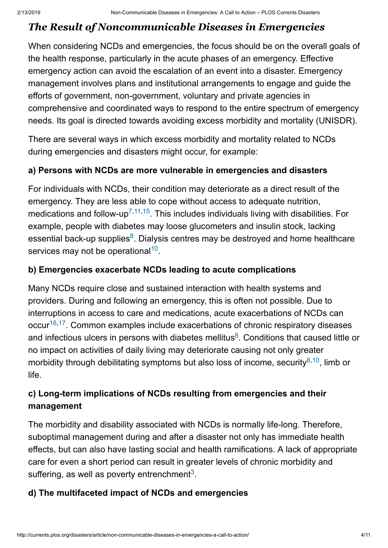## *The Result of Noncommunicable Diseases in Emergencies*

When considering NCDs and emergencies, the focus should be on the overall goals of the health response, particularly in the acute phases of an emergency. Effective emergency action can avoid the escalation of an event into a disaster. Emergency management involves plans and institutional arrangements to engage and guide the efforts of government, non-government, voluntary and private agencies in comprehensive and coordinated ways to respond to the entire spectrum of emergency needs. Its goal is directed towards avoiding excess morbidity and mortality (UNISDR).

There are several ways in which excess morbidity and mortality related to NCDs during emergencies and disasters might occur, for example:

#### **a) Persons with NCDs are more vulnerable in emergencies and disasters**

For individuals with NCDs, their condition may deteriorate as a direct result of the emergency. They are less able to cope without access to adequate nutrition, medications and follow-up<sup>[7](http://currents.plos.org/disasters/index.html%3Fp=5369.html#ref7),[11](http://currents.plos.org/disasters/index.html%3Fp=5369.html#ref11)[,15](http://currents.plos.org/disasters/index.html%3Fp=5369.html#ref15)</sup>. This includes individuals living with disabilities. For example, people with diabetes may loose glucometers and insulin stock, lacking essential back-up supplies<sup>[8](http://currents.plos.org/disasters/index.html%3Fp=5369.html#ref8)</sup>. Dialysis centres may be destroyed and home healthcare services may not be operational $10$ .

#### **b) Emergencies exacerbate NCDs leading to acute complications**

Many NCDs require close and sustained interaction with health systems and providers. During and following an emergency, this is often not possible. Due to interruptions in access to care and medications, acute exacerbations of NCDs can occur<sup>[16](http://currents.plos.org/disasters/index.html%3Fp=5369.html#ref16),[17](http://currents.plos.org/disasters/index.html%3Fp=5369.html#ref17)</sup>. Common examples include exacerbations of chronic respiratory diseases and infectious ulcers in persons with diabetes mellitus<sup>[8](http://currents.plos.org/disasters/index.html%3Fp=5369.html#ref8)</sup>. Conditions that caused little or no impact on activities of daily living may deteriorate causing not only greater morbidity through debilitating symptoms but also loss of income, security<sup>[8,](http://currents.plos.org/disasters/index.html%3Fp=5369.html#ref8)[10](http://currents.plos.org/disasters/index.html%3Fp=5369.html#ref10)</sup>, limb or life.

## **c) Long-term implications of NCDs resulting from emergencies and their management**

The morbidity and disability associated with NCDs is normally life-long. Therefore, suboptimal management during and after a disaster not only has immediate health effects, but can also have lasting social and health ramifications. A lack of appropriate care for even a short period can result in greater levels of chronic morbidity and suffering, as well as poverty entrenchment<sup>[3](http://currents.plos.org/disasters/index.html%3Fp=5369.html#ref3)</sup>.

#### **d) The multifaceted impact of NCDs and emergencies**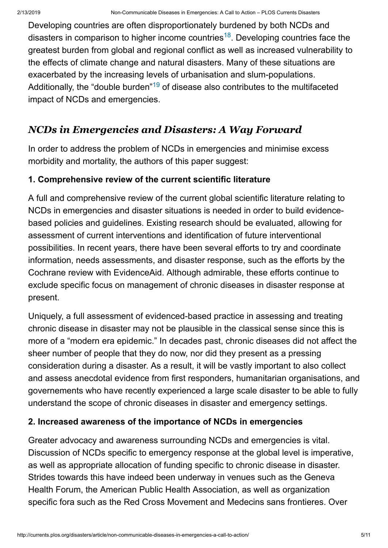Developing countries are often disproportionately burdened by both NCDs and disasters in comparison to higher income countries<sup>[18](http://currents.plos.org/disasters/index.html%3Fp=5369.html#ref18)</sup>. Developing countries face the greatest burden from global and regional conflict as well as increased vulnerability to the effects of climate change and natural disasters. Many of these situations are exacerbated by the increasing levels of urbanisation and slum-populations. Additionally, the "double burden" $^{19}$  $^{19}$  $^{19}$  of disease also contributes to the multifaceted impact of NCDs and emergencies.

## *NCDs in Emergencies and Disasters: A Way Forward*

In order to address the problem of NCDs in emergencies and minimise excess morbidity and mortality, the authors of this paper suggest:

#### **1. Comprehensive review of the current scientific literature**

A full and comprehensive review of the current global scientific literature relating to NCDs in emergencies and disaster situations is needed in order to build evidencebased policies and guidelines. Existing research should be evaluated, allowing for assessment of current interventions and identification of future interventional possibilities. In recent years, there have been several efforts to try and coordinate information, needs assessments, and disaster response, such as the efforts by the Cochrane review with EvidenceAid. Although admirable, these efforts continue to exclude specific focus on management of chronic diseases in disaster response at present.

Uniquely, a full assessment of evidenced-based practice in assessing and treating chronic disease in disaster may not be plausible in the classical sense since this is more of a "modern era epidemic." In decades past, chronic diseases did not affect the sheer number of people that they do now, nor did they present as a pressing consideration during a disaster. As a result, it will be vastly important to also collect and assess anecdotal evidence from first responders, humanitarian organisations, and governements who have recently experienced a large scale disaster to be able to fully understand the scope of chronic diseases in disaster and emergency settings.

#### **2. Increased awareness of the importance of NCDs in emergencies**

Greater advocacy and awareness surrounding NCDs and emergencies is vital. Discussion of NCDs specific to emergency response at the global level is imperative, as well as appropriate allocation of funding specific to chronic disease in disaster. Strides towards this have indeed been underway in venues such as the Geneva Health Forum, the American Public Health Association, as well as organization specific fora such as the Red Cross Movement and Medecins sans frontieres. Over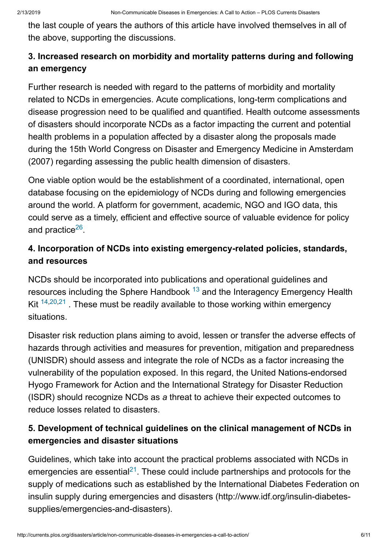the last couple of years the authors of this article have involved themselves in all of the above, supporting the discussions.

## **3. Increased research on morbidity and mortality patterns during and following an emergency**

Further research is needed with regard to the patterns of morbidity and mortality related to NCDs in emergencies. Acute complications, long-term complications and disease progression need to be qualified and quantified. Health outcome assessments of disasters should incorporate NCDs as a factor impacting the current and potential health problems in a population affected by a disaster along the proposals made during the 15th World Congress on Disaster and Emergency Medicine in Amsterdam (2007) regarding assessing the public health dimension of disasters.

One viable option would be the establishment of a coordinated, international, open database focusing on the epidemiology of NCDs during and following emergencies around the world. A platform for government, academic, NGO and IGO data, this could serve as a timely, efficient and effective source of valuable evidence for policy and practice<sup>[26](http://currents.plos.org/disasters/index.html%3Fp=5369.html#ref26)</sup>.

## **4. Incorporation of NCDs into existing emergency-related policies, standards, and resources**

NCDs should be incorporated into publications and operational guidelines and resources including the Sphere Handbook  $^{13}$  $^{13}$  $^{13}$  and the Interagency Emergency Health Kit  $14,20,21$  $14,20,21$  $14,20,21$  . These must be readily available to those working within emergency situations.

Disaster risk reduction plans aiming to avoid, lessen or transfer the adverse effects of hazards through activities and measures for prevention, mitigation and preparedness (UNISDR) should assess and integrate the role of NCDs as a factor increasing the vulnerability of the population exposed. In this regard, the United Nations-endorsed Hyogo Framework for Action and the International Strategy for Disaster Reduction (ISDR) should recognize NCDs as *a* threat to achieve their expected outcomes to reduce losses related to disasters.

#### **5. Development of technical guidelines on the clinical management of NCDs in emergencies and disaster situations**

Guidelines, which take into account the practical problems associated with NCDs in emergencies are essential<sup>[21](http://currents.plos.org/disasters/index.html%3Fp=5369.html#ref21)</sup>. These could include partnerships and protocols for the supply of medications such as established by the International Diabetes Federation on insulin supply during emergencies and disasters (http://www.idf.org/insulin-diabetessupplies/emergencies-and-disasters).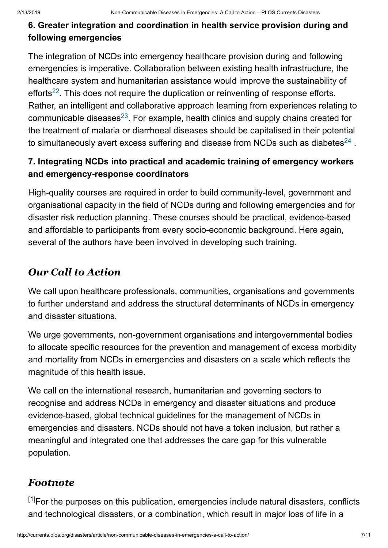#### **6. Greater integration and coordination in health service provision during and following emergencies**

The integration of NCDs into emergency healthcare provision during and following emergencies is imperative. Collaboration between existing health infrastructure, the healthcare system and humanitarian assistance would improve the sustainability of efforts<sup>[22](http://currents.plos.org/disasters/index.html%3Fp=5369.html#ref22)</sup>. This does not require the duplication or reinventing of response efforts. Rather, an intelligent and collaborative approach learning from experiences relating to communicable diseases<sup>[23](http://currents.plos.org/disasters/index.html%3Fp=5369.html#ref23)</sup>. For example, health clinics and supply chains created for the treatment of malaria or diarrhoeal diseases should be capitalised in their potential to simultaneously avert excess suffering and disease from NCDs such as diabetes $^{24}$  $^{24}$  $^{24}$  .

## **7. Integrating NCDs into practical and academic training of emergency workers and emergency-response coordinators**

High-quality courses are required in order to build community-level, government and organisational capacity in the field of NCDs during and following emergencies and for disaster risk reduction planning. These courses should be practical, evidence-based and affordable to participants from every socio-economic background. Here again, several of the authors have been involved in developing such training.

## *Our Call to Action*

We call upon healthcare professionals, communities, organisations and governments to further understand and address the structural determinants of NCDs in emergency and disaster situations.

We urge governments, non-government organisations and intergovernmental bodies to allocate specific resources for the prevention and management of excess morbidity and mortality from NCDs in emergencies and disasters on a scale which reflects the magnitude of this health issue.

We call on the international research, humanitarian and governing sectors to recognise and address NCDs in emergency and disaster situations and produce evidence-based, global technical guidelines for the management of NCDs in emergencies and disasters. NCDs should not have a token inclusion, but rather a meaningful and integrated one that addresses the care gap for this vulnerable population.

## *Footnote*

<sup>[1]</sup>For the purposes on this publication, emergencies include natural disasters, conflicts and technological disasters, or a combination, which result in major loss of life in a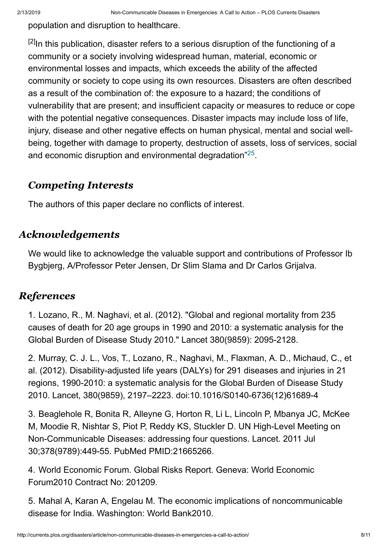population and disruption to healthcare.

 $^{[2]}$ In this publication, disaster refers to a serious disruption of the functioning of a community or a society involving widespread human, material, economic or environmental losses and impacts, which exceeds the ability of the affected community or society to cope using its own resources. Disasters are often described as a result of the combination of: the exposure to a hazard; the conditions of vulnerability that are present; and insufficient capacity or measures to reduce or cope with the potential negative consequences. Disaster impacts may include loss of life, injury, disease and other negative effects on human physical, mental and social wellbeing, together with damage to property, destruction of assets, loss of services, social and economic disruption and environmental degradation $"^{25}$  $"^{25}$  $"^{25}$ .

#### *Competing Interests*

The authors of this paper declare no conflicts of interest.

#### *Acknowledgements*

We would like to acknowledge the valuable support and contributions of Professor Ib Bygbjerg, A/Professor Peter Jensen, Dr Slim Slama and Dr Carlos Grijalva.

#### *References*

1. Lozano, R., M. Naghavi, et al. (2012). "Global and regional mortality from 235 causes of death for 20 age groups in 1990 and 2010: a systematic analysis for the Global Burden of Disease Study 2010." Lancet 380(9859): 2095-2128.

2. Murray, C. J. L., Vos, T., Lozano, R., Naghavi, M., Flaxman, A. D., Michaud, C., et al. (2012). Disability-adjusted life years (DALYs) for 291 diseases and injuries in 21 regions, 1990-2010: a systematic analysis for the Global Burden of Disease Study 2010. Lancet, 380(9859), 2197–2223. doi:10.1016/S0140-6736(12)61689-4

3. Beaglehole R, Bonita R, Alleyne G, Horton R, Li L, Lincoln P, Mbanya JC, McKee M, Moodie R, Nishtar S, Piot P, Reddy KS, Stuckler D. UN High-Level Meeting on Non-Communicable Diseases: addressing four questions. Lancet. 2011 Jul 30;378(9789):449-55. PubMed PMID:21665266.

4. World Economic Forum. Global Risks Report. Geneva: World Economic Forum2010 Contract No: 201209.

5. Mahal A, Karan A, Engelau M. The economic implications of noncommunicable disease for India. Washington: World Bank2010.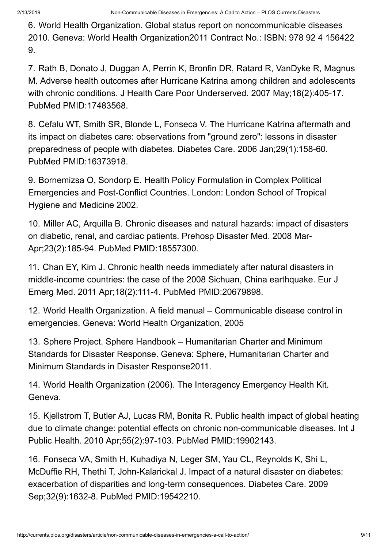6. World Health Organization. Global status report on noncommunicable diseases 2010. Geneva: World Health Organization2011 Contract No.: ISBN: 978 92 4 156422 9.

7. Rath B, Donato J, Duggan A, Perrin K, Bronfin DR, Ratard R, VanDyke R, Magnus M. Adverse health outcomes after Hurricane Katrina among children and adolescents with chronic conditions. J Health Care Poor Underserved. 2007 May;18(2):405-17. PubMed PMID:17483568.

8. Cefalu WT, Smith SR, Blonde L, Fonseca V. The Hurricane Katrina aftermath and its impact on diabetes care: observations from "ground zero": lessons in disaster preparedness of people with diabetes. Diabetes Care. 2006 Jan;29(1):158-60. PubMed PMID:16373918.

9. Bornemizsa O, Sondorp E. Health Policy Formulation in Complex Political Emergencies and Post-Conflict Countries. London: London School of Tropical Hygiene and Medicine 2002.

10. Miller AC, Arquilla B. Chronic diseases and natural hazards: impact of disasters on diabetic, renal, and cardiac patients. Prehosp Disaster Med. 2008 Mar-Apr;23(2):185-94. PubMed PMID:18557300.

11. Chan EY, Kim J. Chronic health needs immediately after natural disasters in middle-income countries: the case of the 2008 Sichuan, China earthquake. Eur J Emerg Med. 2011 Apr;18(2):111-4. PubMed PMID:20679898.

12. World Health Organization. A field manual – Communicable disease control in emergencies. Geneva: World Health Organization, 2005

13. Sphere Project. Sphere Handbook – Humanitarian Charter and Minimum Standards for Disaster Response. Geneva: Sphere, Humanitarian Charter and Minimum Standards in Disaster Response2011.

14. World Health Organization (2006). The Interagency Emergency Health Kit. Geneva.

15. Kjellstrom T, Butler AJ, Lucas RM, Bonita R. Public health impact of global heating due to climate change: potential effects on chronic non-communicable diseases. Int J Public Health. 2010 Apr;55(2):97-103. PubMed PMID:19902143.

16. Fonseca VA, Smith H, Kuhadiya N, Leger SM, Yau CL, Reynolds K, Shi L, McDuffie RH, Thethi T, John-Kalarickal J. Impact of a natural disaster on diabetes: exacerbation of disparities and long-term consequences. Diabetes Care. 2009 Sep;32(9):1632-8. PubMed PMID:19542210.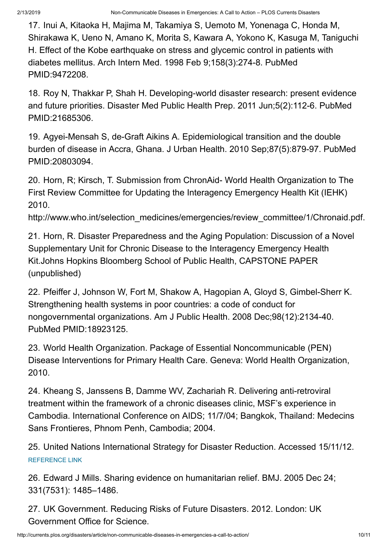17. Inui A, Kitaoka H, Majima M, Takamiya S, Uemoto M, Yonenaga C, Honda M, Shirakawa K, Ueno N, Amano K, Morita S, Kawara A, Yokono K, Kasuga M, Taniguchi H. Effect of the Kobe earthquake on stress and glycemic control in patients with diabetes mellitus. Arch Intern Med. 1998 Feb 9;158(3):274-8. PubMed PMID:9472208.

18. Roy N, Thakkar P, Shah H. Developing-world disaster research: present evidence and future priorities. Disaster Med Public Health Prep. 2011 Jun;5(2):112-6. PubMed PMID:21685306.

19. Agyei-Mensah S, de-Graft Aikins A. Epidemiological transition and the double burden of disease in Accra, Ghana. J Urban Health. 2010 Sep;87(5):879-97. PubMed PMID:20803094.

20. Horn, R; Kirsch, T. Submission from ChronAid- World Health Organization to The First Review Committee for Updating the Interagency Emergency Health Kit (IEHK) 2010.

http://www.who.int/selection\_medicines/emergencies/review\_committee/1/Chronaid.pdf.

21. Horn, R. Disaster Preparedness and the Aging Population: Discussion of a Novel Supplementary Unit for Chronic Disease to the Interagency Emergency Health Kit.Johns Hopkins Bloomberg School of Public Health, CAPSTONE PAPER (unpublished)

22. Pfeiffer J, Johnson W, Fort M, Shakow A, Hagopian A, Gloyd S, Gimbel-Sherr K. Strengthening health systems in poor countries: a code of conduct for nongovernmental organizations. Am J Public Health. 2008 Dec;98(12):2134-40. PubMed PMID:18923125.

23. World Health Organization. Package of Essential Noncommunicable (PEN) Disease Interventions for Primary Health Care. Geneva: World Health Organization, 2010.

24. Kheang S, Janssens B, Damme WV, Zachariah R. Delivering anti-retroviral treatment within the framework of a chronic diseases clinic, MSF's experience in Cambodia. International Conference on AIDS; 11/7/04; Bangkok, Thailand: Medecins Sans Frontieres, Phnom Penh, Cambodia; 2004.

25. United Nations International Strategy for Disaster Reduction. Accessed 15/11/12. [REFERENCE LINK](http://www.unisdr.org/we/inform/terminology)

26. Edward J Mills. Sharing evidence on humanitarian relief. BMJ. 2005 Dec 24; 331(7531): 1485–1486.

27. UK Government. Reducing Risks of Future Disasters. 2012. London: UK Government Office for Science.